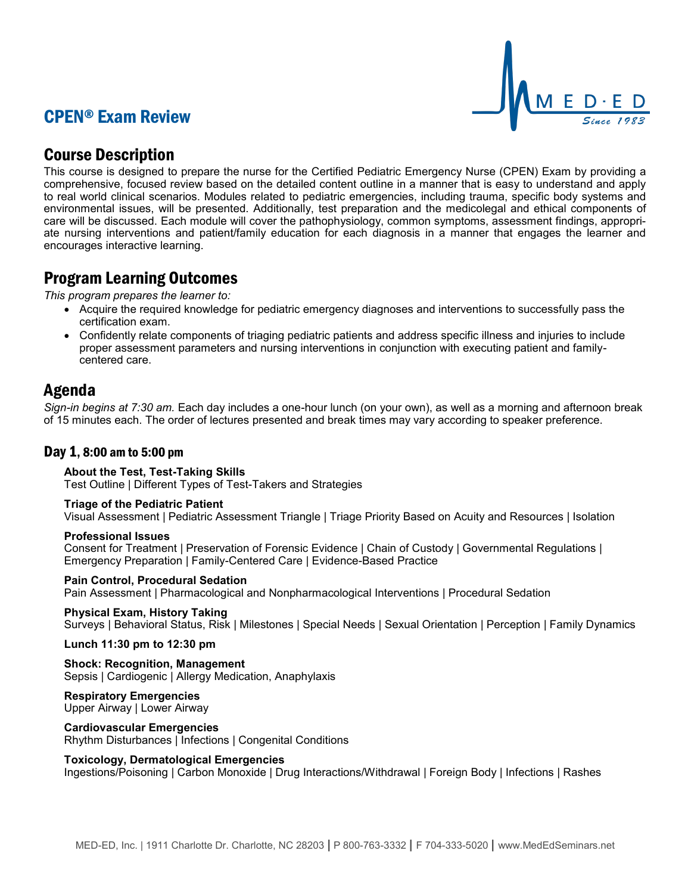# CPEN® Exam Review



# Course Description

This course is designed to prepare the nurse for the Certified Pediatric Emergency Nurse (CPEN) Exam by providing a comprehensive, focused review based on the detailed content outline in a manner that is easy to understand and apply to real world clinical scenarios. Modules related to pediatric emergencies, including trauma, specific body systems and environmental issues, will be presented. Additionally, test preparation and the medicolegal and ethical components of care will be discussed. Each module will cover the pathophysiology, common symptoms, assessment findings, appropriate nursing interventions and patient/family education for each diagnosis in a manner that engages the learner and encourages interactive learning.

# Program Learning Outcomes

*This program prepares the learner to:*

- Acquire the required knowledge for pediatric emergency diagnoses and interventions to successfully pass the certification exam.
- Confidently relate components of triaging pediatric patients and address specific illness and injuries to include proper assessment parameters and nursing interventions in conjunction with executing patient and familycentered care.

# Agenda

*Sign-in begins at 7:30 am.* Each day includes a one-hour lunch (on your own), as well as a morning and afternoon break of 15 minutes each. The order of lectures presented and break times may vary according to speaker preference.

## Day 1, 8:00 am to 5:00 pm

## **About the Test, Test-Taking Skills**

Test Outline | Different Types of Test-Takers and Strategies

## **Triage of the Pediatric Patient**

Visual Assessment | Pediatric Assessment Triangle | Triage Priority Based on Acuity and Resources | Isolation

## **Professional Issues**

Consent for Treatment | Preservation of Forensic Evidence | Chain of Custody | Governmental Regulations | Emergency Preparation | Family-Centered Care | Evidence-Based Practice

## **Pain Control, Procedural Sedation**

Pain Assessment | Pharmacological and Nonpharmacological Interventions | Procedural Sedation

## **Physical Exam, History Taking**

Surveys | Behavioral Status, Risk | Milestones | Special Needs | Sexual Orientation | Perception | Family Dynamics

**Lunch 11:30 pm to 12:30 pm**

**Shock: Recognition, Management** Sepsis | Cardiogenic | Allergy Medication, Anaphylaxis

## **Respiratory Emergencies**

Upper Airway | Lower Airway

## **Cardiovascular Emergencies**

Rhythm Disturbances | Infections | Congenital Conditions

## **Toxicology, Dermatological Emergencies**

Ingestions/Poisoning | Carbon Monoxide | Drug Interactions/Withdrawal | Foreign Body | Infections | Rashes